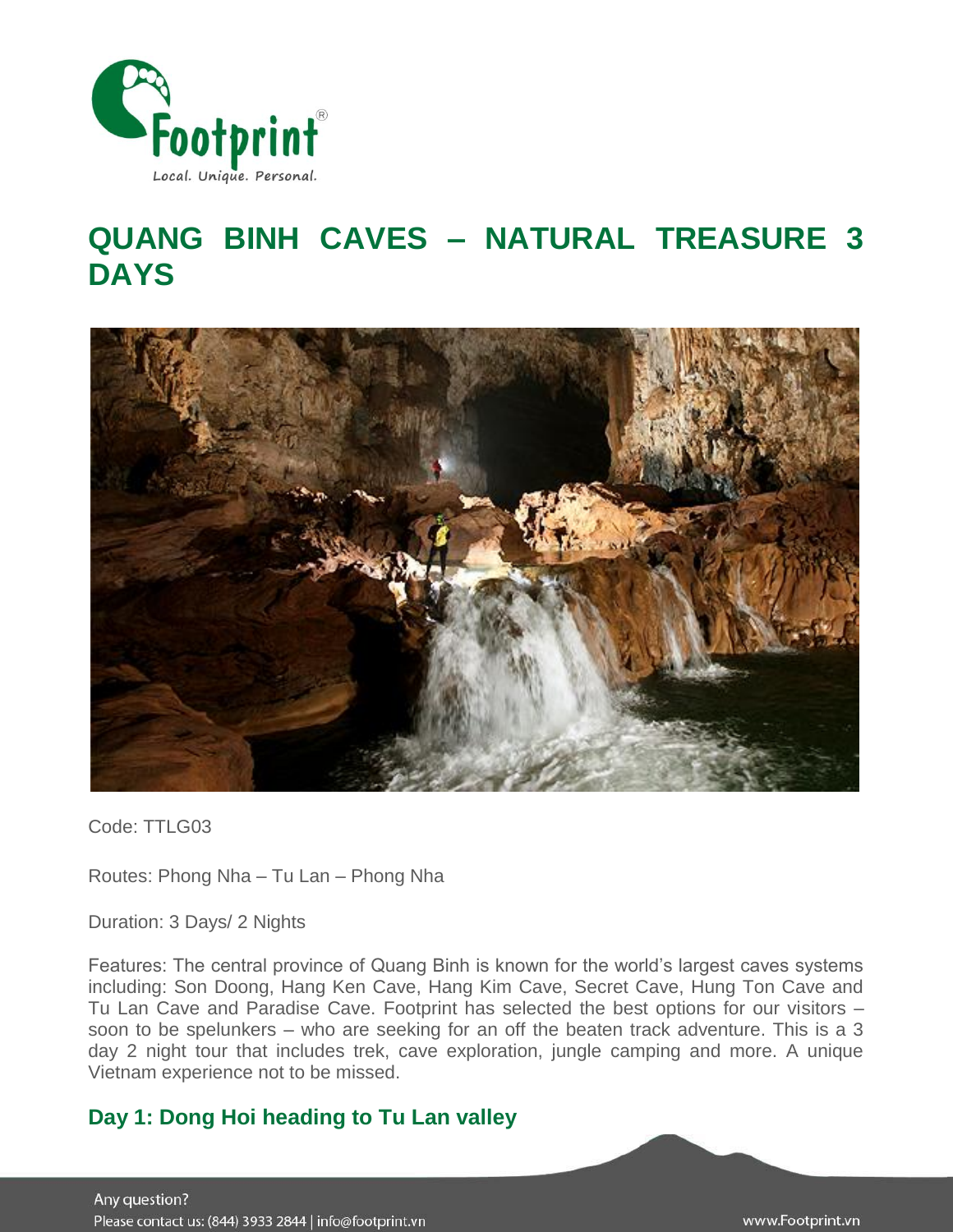

# **QUANG BINH CAVES – NATURAL TREASURE 3 DAYS**



Code: TTLG03

Routes: Phong Nha – Tu Lan – Phong Nha

Duration: 3 Days/ 2 Nights

Features: The central province of Quang Binh is known for the world's largest caves systems including: Son Doong, Hang Ken Cave, Hang Kim Cave, Secret Cave, Hung Ton Cave and Tu Lan Cave and Paradise Cave. Footprint has selected the best options for our visitors – soon to be spelunkers – who are seeking for an off the beaten track adventure. This is a 3 day 2 night tour that includes trek, cave exploration, jungle camping and more. A unique Vietnam experience not to be missed.

## **Day 1: Dong Hoi heading to Tu Lan valley**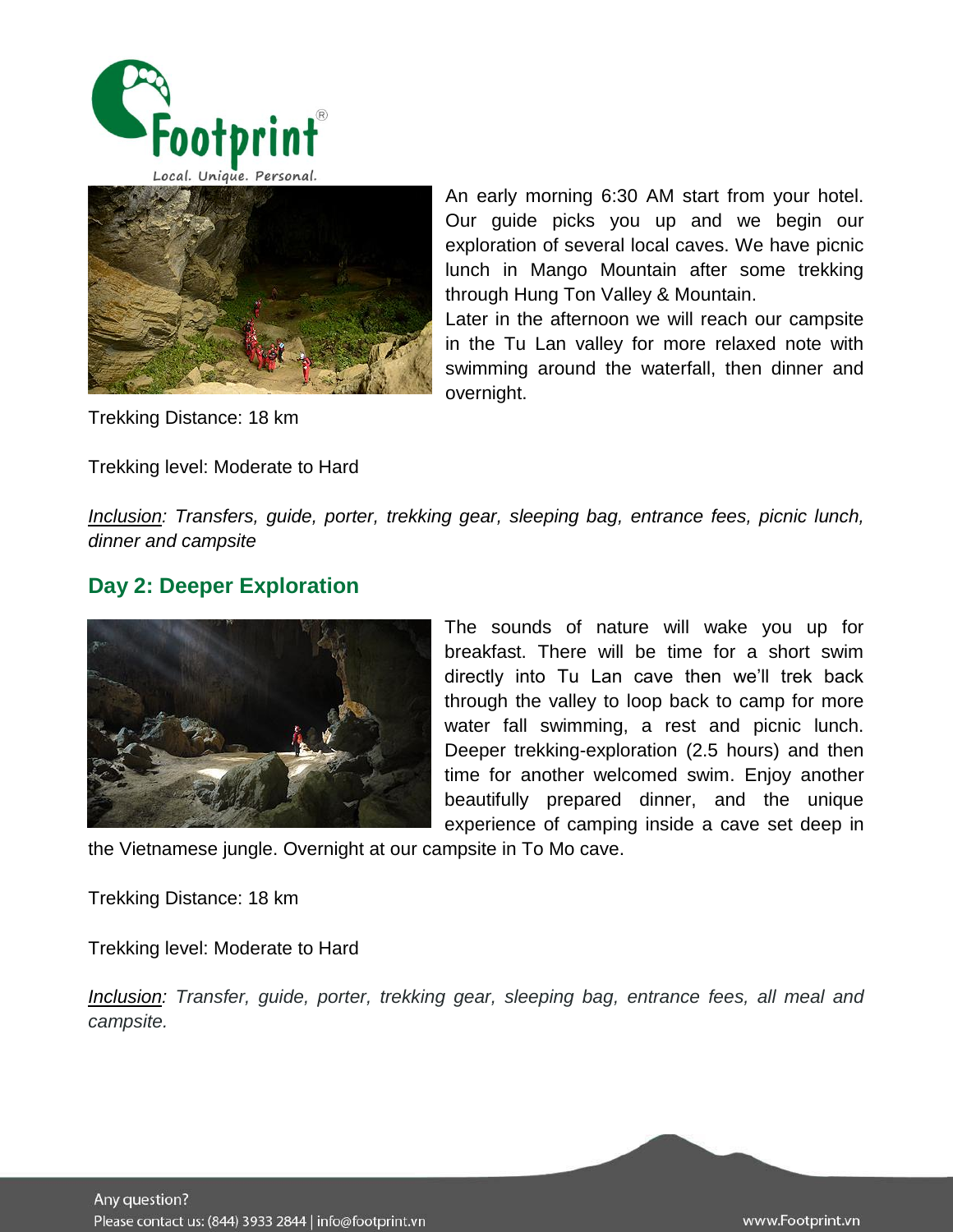



Trekking Distance: 18 km

Trekking level: Moderate to Hard

An early morning 6:30 AM start from your hotel. Our guide picks you up and we begin our exploration of several local caves. We have picnic lunch in Mango Mountain after some trekking through Hung Ton Valley & Mountain.

Later in the afternoon we will reach our campsite in the Tu Lan valley for more relaxed note with swimming around the waterfall, then dinner and overnight.

*Inclusion: Transfers, guide, porter, trekking gear, sleeping bag, entrance fees, picnic lunch, dinner and campsite*

## **Day 2: Deeper Exploration**



The sounds of nature will wake you up for breakfast. There will be time for a short swim directly into Tu Lan cave then we'll trek back through the valley to loop back to camp for more water fall swimming, a rest and picnic lunch. Deeper trekking-exploration (2.5 hours) and then time for another welcomed swim. Enjoy another beautifully prepared dinner, and the unique experience of camping inside a cave set deep in

the Vietnamese jungle. Overnight at our campsite in To Mo cave.

Trekking Distance: 18 km

Trekking level: Moderate to Hard

*Inclusion: Transfer, guide, porter, trekking gear, sleeping bag, entrance fees, all meal and campsite.*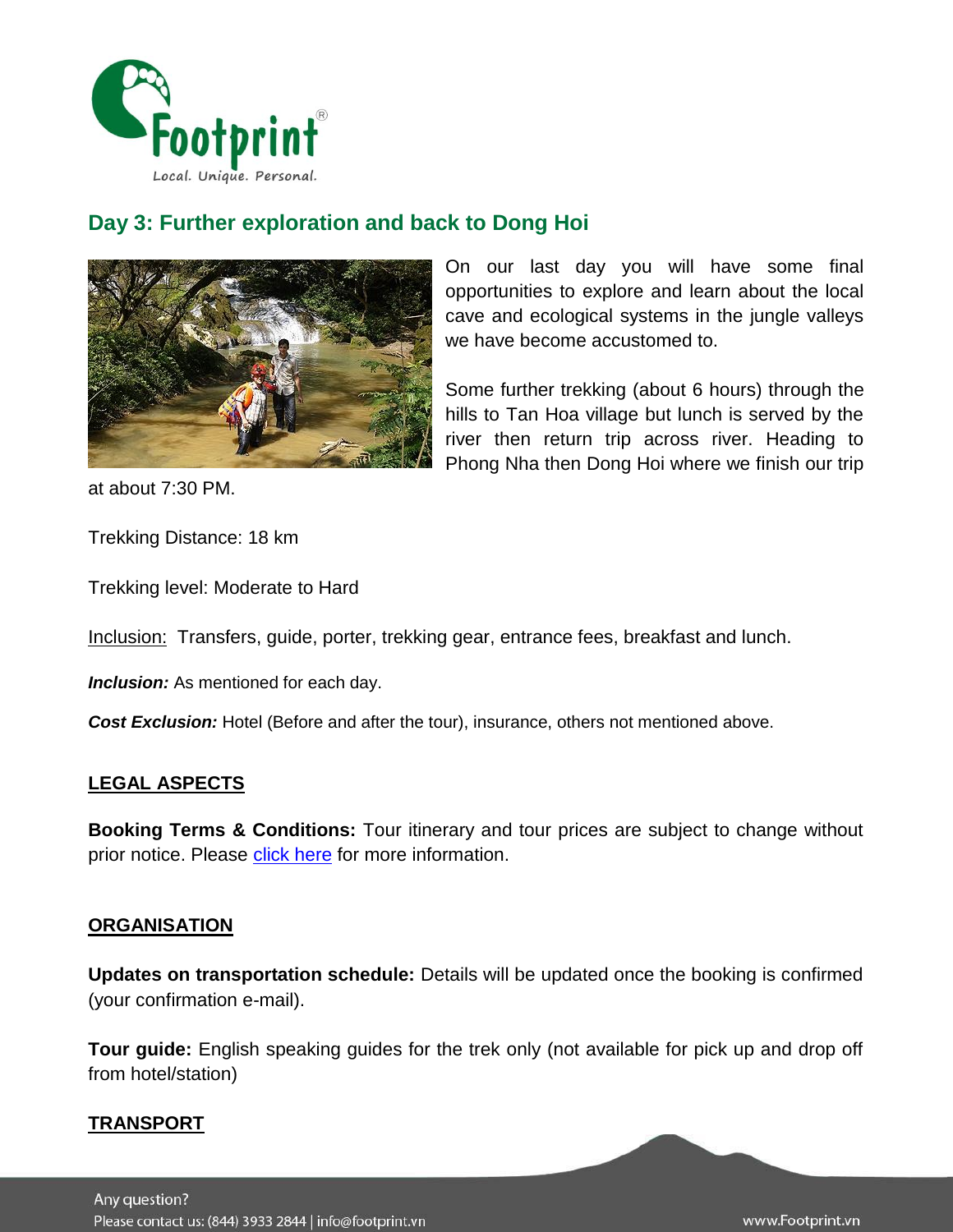

# **Day 3: Further exploration and back to Dong Hoi**



On our last day you will have some final opportunities to explore and learn about the local cave and ecological systems in the jungle valleys we have become accustomed to.

Some further trekking (about 6 hours) through the hills to Tan Hoa village but lunch is served by the river then return trip across river. Heading to Phong Nha then Dong Hoi where we finish our trip

at about 7:30 PM.

Trekking Distance: 18 km

Trekking level: Moderate to Hard

Inclusion: Transfers, guide, porter, trekking gear, entrance fees, breakfast and lunch.

**Inclusion:** As mentioned for each day.

*Cost Exclusion:* Hotel (Before and after the tour), insurance, others not mentioned above.

## **LEGAL ASPECTS**

**Booking Terms & Conditions:** Tour itinerary and tour prices are subject to change without prior notice. Please [click here](http://www.footprintsvietnam.com/Resources/Footprint/Terms-Conditions-for-Booking-Traveling-with-Footprint-Travel.htm) for more information.

#### **ORGANISATION**

**Updates on transportation schedule:** Details will be updated once the booking is confirmed (your confirmation e-mail).

**Tour guide:** English speaking guides for the trek only (not available for pick up and drop off from hotel/station)

## **TRANSPORT**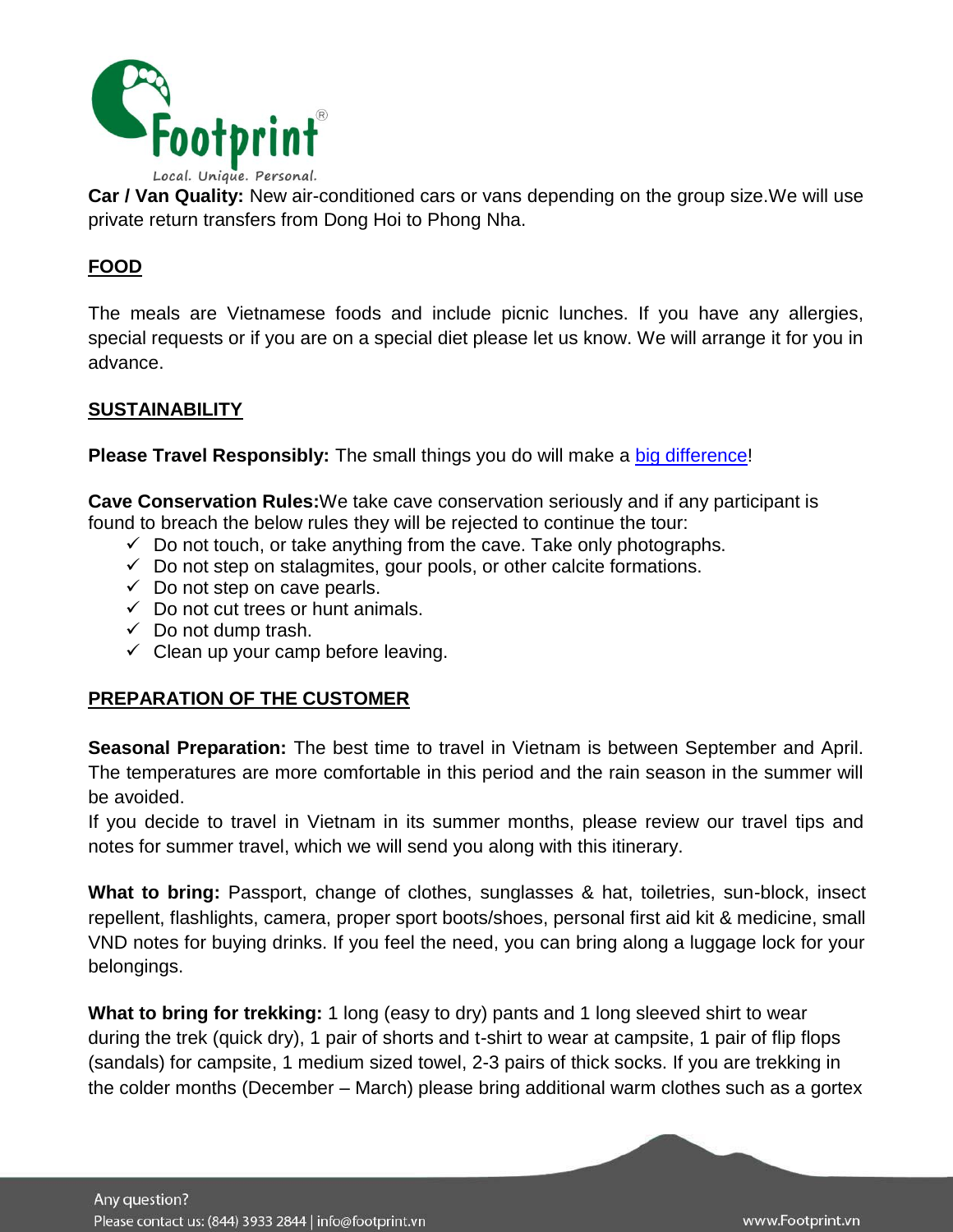

**Car / Van Quality:** New air-conditioned cars or vans depending on the group size.We will use private return transfers from Dong Hoi to Phong Nha.

## **FOOD**

The meals are Vietnamese foods and include picnic lunches. If you have any allergies, special requests or if you are on a special diet please let us know. We will arrange it for you in advance.

## **SUSTAINABILITY**

**Please Travel Responsibly:** The small things you do will make a [big difference!](http://www.footprintsvietnam.com/ResponsibleTravel/You-can-play-a-part-too/)

**Cave Conservation Rules:**We take cave conservation seriously and if any participant is found to breach the below rules they will be rejected to continue the tour:

- $\checkmark$  Do not touch, or take anything from the cave. Take only photographs.
- $\checkmark$  Do not step on stalagmites, gour pools, or other calcite formations.
- $\checkmark$  Do not step on cave pearls.
- $\checkmark$  Do not cut trees or hunt animals.
- $\checkmark$  Do not dump trash.
- $\checkmark$  Clean up your camp before leaving.

## **PREPARATION OF THE CUSTOMER**

**Seasonal Preparation:** The best time to travel in Vietnam is between September and April. The temperatures are more comfortable in this period and the rain season in the summer will be avoided.

If you decide to travel in Vietnam in its summer months, please review our travel tips and notes for summer travel, which we will send you along with this itinerary.

**What to bring:** Passport, change of clothes, sunglasses & hat, toiletries, sun-block, insect repellent, flashlights, camera, proper sport boots/shoes, personal first aid kit & medicine, small VND notes for buying drinks. If you feel the need, you can bring along a luggage lock for your belongings.

**What to bring for trekking:** 1 long (easy to dry) pants and 1 long sleeved shirt to wear during the trek (quick dry), 1 pair of shorts and t-shirt to wear at campsite, 1 pair of flip flops (sandals) for campsite, 1 medium sized towel, 2-3 pairs of thick socks. If you are trekking in the colder months (December – March) please bring additional warm clothes such as a gortex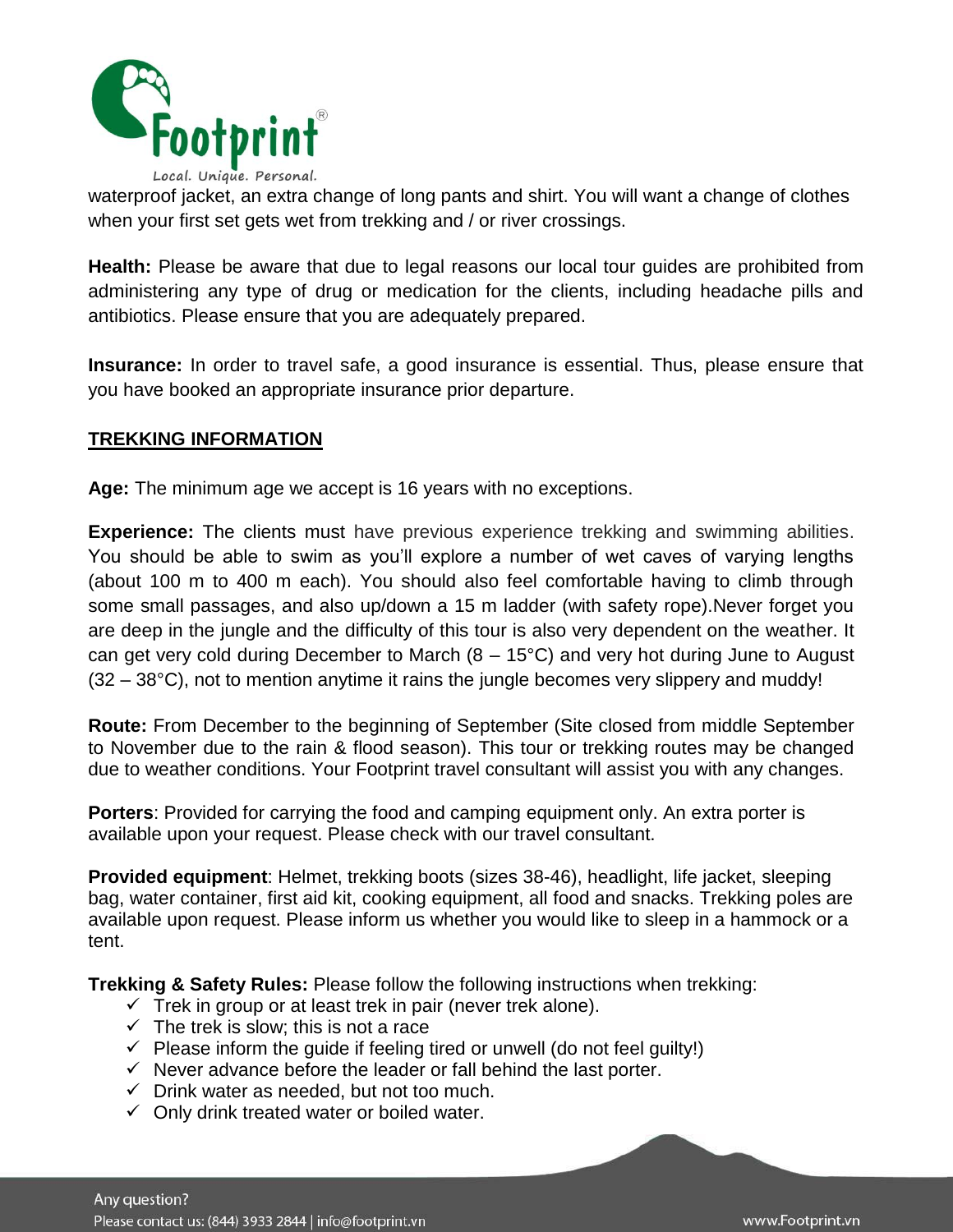

waterproof jacket, an extra change of long pants and shirt. You will want a change of clothes when your first set gets wet from trekking and / or river crossings.

**Health:** Please be aware that due to legal reasons our local tour guides are prohibited from administering any type of drug or medication for the clients, including headache pills and antibiotics. Please ensure that you are adequately prepared.

**Insurance:** In order to travel safe, a good insurance is essential. Thus, please ensure that you have booked an appropriate insurance prior departure.

#### **TREKKING INFORMATION**

**Age:** The minimum age we accept is 16 years with no exceptions.

**Experience:** The clients must have previous experience trekking and swimming abilities. You should be able to swim as you'll explore a number of wet caves of varying lengths (about 100 m to 400 m each). You should also feel comfortable having to climb through some small passages, and also up/down a 15 m ladder (with safety rope).Never forget you are deep in the jungle and the difficulty of this tour is also very dependent on the weather. It can get very cold during December to March  $(8 - 15^{\circ}C)$  and very hot during June to August (32 – 38°C), not to mention anytime it rains the jungle becomes very slippery and muddy!

**Route:** From December to the beginning of September (Site closed from middle September to November due to the rain & flood season). This tour or trekking routes may be changed due to weather conditions. Your Footprint travel consultant will assist you with any changes.

**Porters**: Provided for carrying the food and camping equipment only. An extra porter is available upon your request. Please check with our travel consultant.

**Provided equipment**: Helmet, trekking boots (sizes 38-46), headlight, life jacket, sleeping bag, water container, first aid kit, cooking equipment, all food and snacks. Trekking poles are available upon request. Please inform us whether you would like to sleep in a hammock or a tent.

**Trekking & Safety Rules:** Please follow the following instructions when trekking:

- $\checkmark$  Trek in group or at least trek in pair (never trek alone).
- $\checkmark$  The trek is slow; this is not a race
- $\checkmark$  Please inform the guide if feeling tired or unwell (do not feel guilty!)
- $\checkmark$  Never advance before the leader or fall behind the last porter.
- $\checkmark$  Drink water as needed, but not too much.
- $\checkmark$  Only drink treated water or boiled water.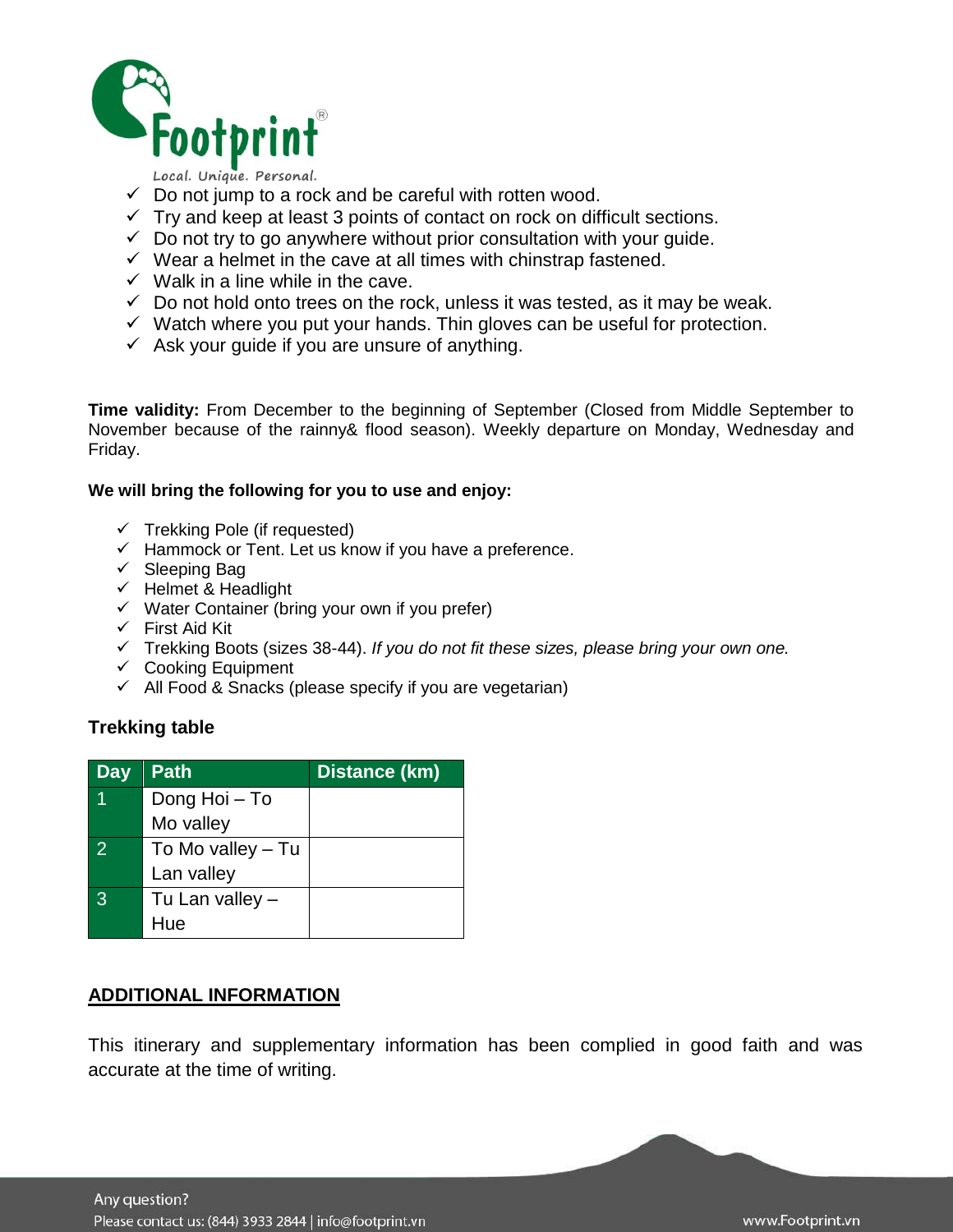

Local. Unique. Personal.

- $\checkmark$  Do not jump to a rock and be careful with rotten wood.
- $\checkmark$  Try and keep at least 3 points of contact on rock on difficult sections.
- $\checkmark$  Do not try to go anywhere without prior consultation with your guide.
- $\checkmark$  Wear a helmet in the cave at all times with chinstrap fastened.
- $\checkmark$  Walk in a line while in the cave.
- $\checkmark$  Do not hold onto trees on the rock, unless it was tested, as it may be weak.
- $\checkmark$  Watch where you put your hands. Thin gloves can be useful for protection.
- $\checkmark$  Ask your guide if you are unsure of anything.

**Time validity:** From December to the beginning of September (Closed from Middle September to November because of the rainny& flood season). Weekly departure on Monday, Wednesday and Friday.

#### **We will bring the following for you to use and enjoy:**

- $\checkmark$  Trekking Pole (if requested)
- $\checkmark$  Hammock or Tent. Let us know if you have a preference.
- $\checkmark$  Sleeping Bag
- $\checkmark$  Helmet & Headlight
- $\checkmark$  Water Container (bring your own if you prefer)
- $\checkmark$  First Aid Kit
- Trekking Boots (sizes 38-44). *If you do not fit these sizes, please bring your own one.*
- $\checkmark$  Cooking Equipment
- $\checkmark$  All Food & Snacks (please specify if you are vegetarian)

#### **Trekking table**

| Day          | <b>Path</b>       | Distance (km) |
|--------------|-------------------|---------------|
|              | Dong Hoi - To     |               |
|              | Mo valley         |               |
| 2            | To Mo valley – Tu |               |
|              | Lan valley        |               |
| $\mathbf{3}$ | Tu Lan valley -   |               |
|              | Hue               |               |

#### **ADDITIONAL INFORMATION**

This itinerary and supplementary information has been complied in good faith and was accurate at the time of writing.